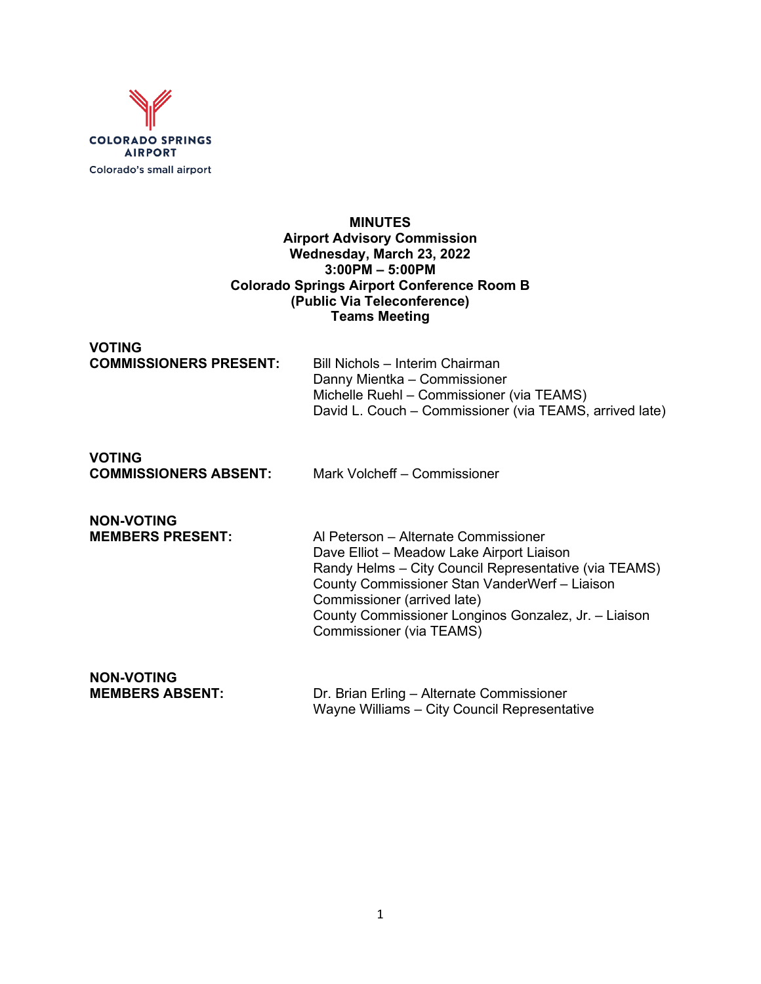

#### **MINUTES Airport Advisory Commission Wednesday, March 23, 2022 3:00PM – 5:00PM Colorado Springs Airport Conference Room B (Public Via Teleconference) Teams Meeting**

## **VOTING**

| <b>COMMISSIONERS PRESENT:</b> | Bill Nichols - Interim Chairman                         |
|-------------------------------|---------------------------------------------------------|
|                               | Danny Mientka – Commissioner                            |
|                               | Michelle Ruehl – Commissioner (via TEAMS)               |
|                               | David L. Couch – Commissioner (via TEAMS, arrived late) |

# **VOTING**

**COMMISSIONERS ABSENT:** Mark Volcheff – Commissioner

## **NON-VOTING<br>MEMBERS PRESENT:**

**MEMBERS PRESENT:** Al Peterson – Alternate Commissioner Dave Elliot – Meadow Lake Airport Liaison Randy Helms – City Council Representative (via TEAMS) County Commissioner Stan VanderWerf – Liaison Commissioner (arrived late) County Commissioner Longinos Gonzalez, Jr. – Liaison Commissioner (via TEAMS)

## **NON-VOTING**

**MEMBERS ABSENT:** Dr. Brian Erling – Alternate Commissioner Wayne Williams – City Council Representative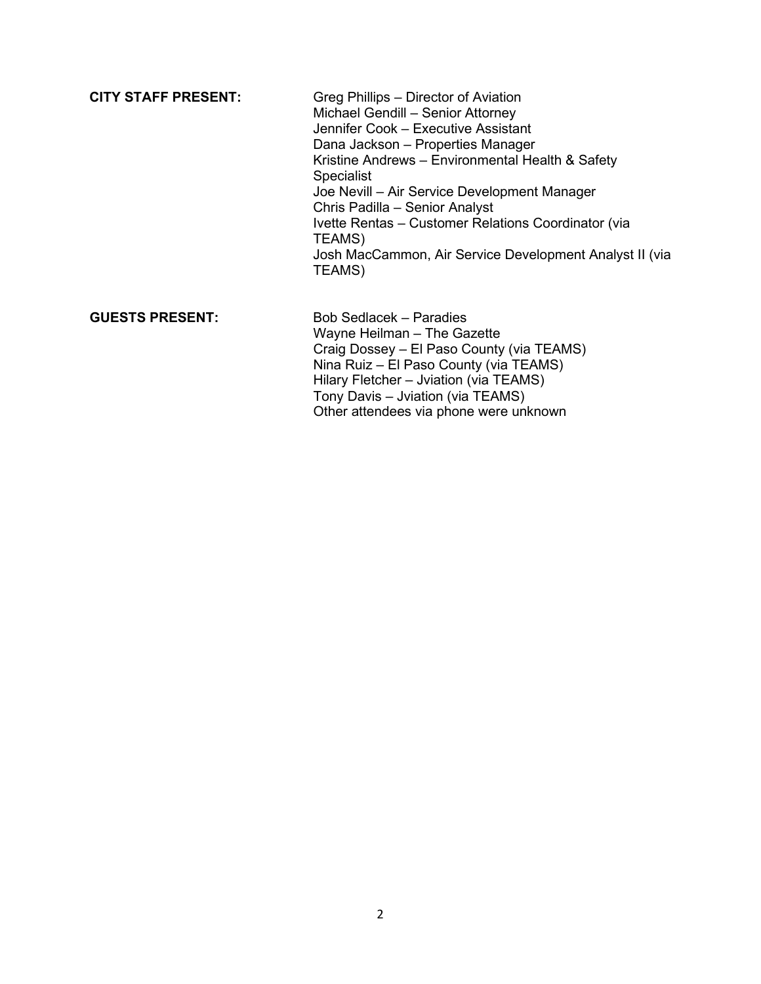**CITY STAFF PRESENT:** Greg Phillips – Director of Aviation Michael Gendill – Senior Attorney Jennifer Cook – Executive Assistant Dana Jackson – Properties Manager Kristine Andrews – Environmental Health & Safety Specialist Joe Nevill – Air Service Development Manager Chris Padilla – Senior Analyst Ivette Rentas – Customer Relations Coordinator (via TEAMS) Josh MacCammon, Air Service Development Analyst II (via TEAMS)

#### **GUESTS PRESENT:** Bob Sedlacek – Paradies Wayne Heilman – The Gazette Craig Dossey – El Paso County (via TEAMS) Nina Ruiz – El Paso County (via TEAMS) Hilary Fletcher – Jviation (via TEAMS) Tony Davis – Jviation (via TEAMS) Other attendees via phone were unknown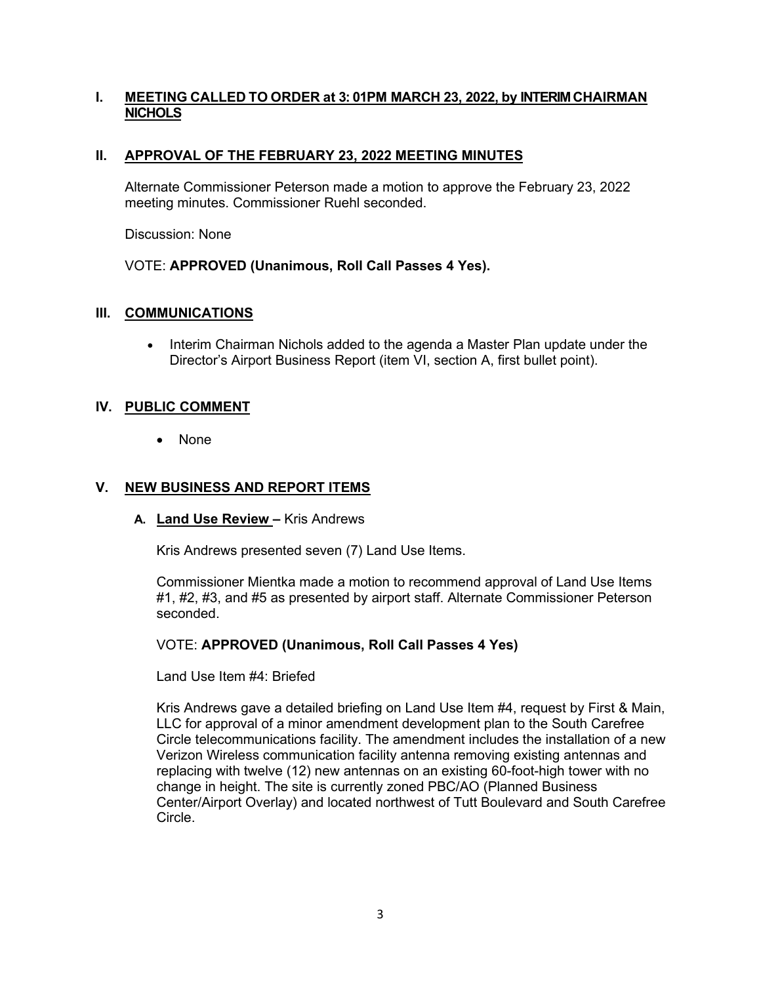## **I. MEETING CALLED TO ORDER at 3: 01PM MARCH 23, 2022, by INTERIM CHAIRMAN NICHOLS**

## **II. APPROVAL OF THE FEBRUARY 23, 2022 MEETING MINUTES**

Alternate Commissioner Peterson made a motion to approve the February 23, 2022 meeting minutes. Commissioner Ruehl seconded.

Discussion: None

## VOTE: **APPROVED (Unanimous, Roll Call Passes 4 Yes).**

## **III. COMMUNICATIONS**

• Interim Chairman Nichols added to the agenda a Master Plan update under the Director's Airport Business Report (item VI, section A, first bullet point).

## **IV. PUBLIC COMMENT**

• None

## **V. NEW BUSINESS AND REPORT ITEMS**

**A. Land Use Review –** Kris Andrews

Kris Andrews presented seven (7) Land Use Items.

Commissioner Mientka made a motion to recommend approval of Land Use Items #1, #2, #3, and #5 as presented by airport staff. Alternate Commissioner Peterson seconded.

## VOTE: **APPROVED (Unanimous, Roll Call Passes 4 Yes)**

Land Use Item #4: Briefed

Kris Andrews gave a detailed briefing on Land Use Item #4, request by First & Main, LLC for approval of a minor amendment development plan to the South Carefree Circle telecommunications facility. The amendment includes the installation of a new Verizon Wireless communication facility antenna removing existing antennas and replacing with twelve (12) new antennas on an existing 60-foot-high tower with no change in height. The site is currently zoned PBC/AO (Planned Business Center/Airport Overlay) and located northwest of Tutt Boulevard and South Carefree Circle.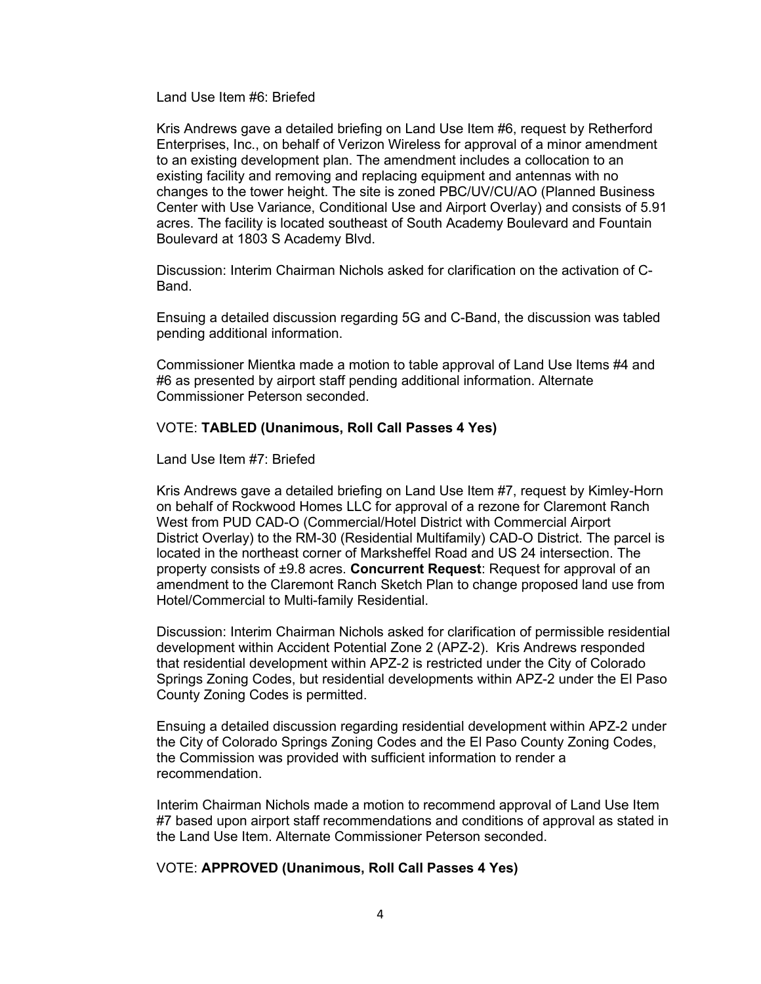Land Use Item #6: Briefed

Kris Andrews gave a detailed briefing on Land Use Item #6, request by Retherford Enterprises, Inc., on behalf of Verizon Wireless for approval of a minor amendment to an existing development plan. The amendment includes a collocation to an existing facility and removing and replacing equipment and antennas with no changes to the tower height. The site is zoned PBC/UV/CU/AO (Planned Business Center with Use Variance, Conditional Use and Airport Overlay) and consists of 5.91 acres. The facility is located southeast of South Academy Boulevard and Fountain Boulevard at 1803 S Academy Blvd.

Discussion: Interim Chairman Nichols asked for clarification on the activation of C-Band.

Ensuing a detailed discussion regarding 5G and C-Band, the discussion was tabled pending additional information.

Commissioner Mientka made a motion to table approval of Land Use Items #4 and #6 as presented by airport staff pending additional information. Alternate Commissioner Peterson seconded.

#### VOTE: **TABLED (Unanimous, Roll Call Passes 4 Yes)**

Land Use Item #7: Briefed

Kris Andrews gave a detailed briefing on Land Use Item #7, request by Kimley-Horn on behalf of Rockwood Homes LLC for approval of a rezone for Claremont Ranch West from PUD CAD-O (Commercial/Hotel District with Commercial Airport District Overlay) to the RM-30 (Residential Multifamily) CAD-O District. The parcel is located in the northeast corner of Marksheffel Road and US 24 intersection. The property consists of ±9.8 acres. **Concurrent Request**: Request for approval of an amendment to the Claremont Ranch Sketch Plan to change proposed land use from Hotel/Commercial to Multi-family Residential.

Discussion: Interim Chairman Nichols asked for clarification of permissible residential development within Accident Potential Zone 2 (APZ-2). Kris Andrews responded that residential development within APZ-2 is restricted under the City of Colorado Springs Zoning Codes, but residential developments within APZ-2 under the El Paso County Zoning Codes is permitted.

Ensuing a detailed discussion regarding residential development within APZ-2 under the City of Colorado Springs Zoning Codes and the El Paso County Zoning Codes, the Commission was provided with sufficient information to render a recommendation.

Interim Chairman Nichols made a motion to recommend approval of Land Use Item #7 based upon airport staff recommendations and conditions of approval as stated in the Land Use Item. Alternate Commissioner Peterson seconded.

#### VOTE: **APPROVED (Unanimous, Roll Call Passes 4 Yes)**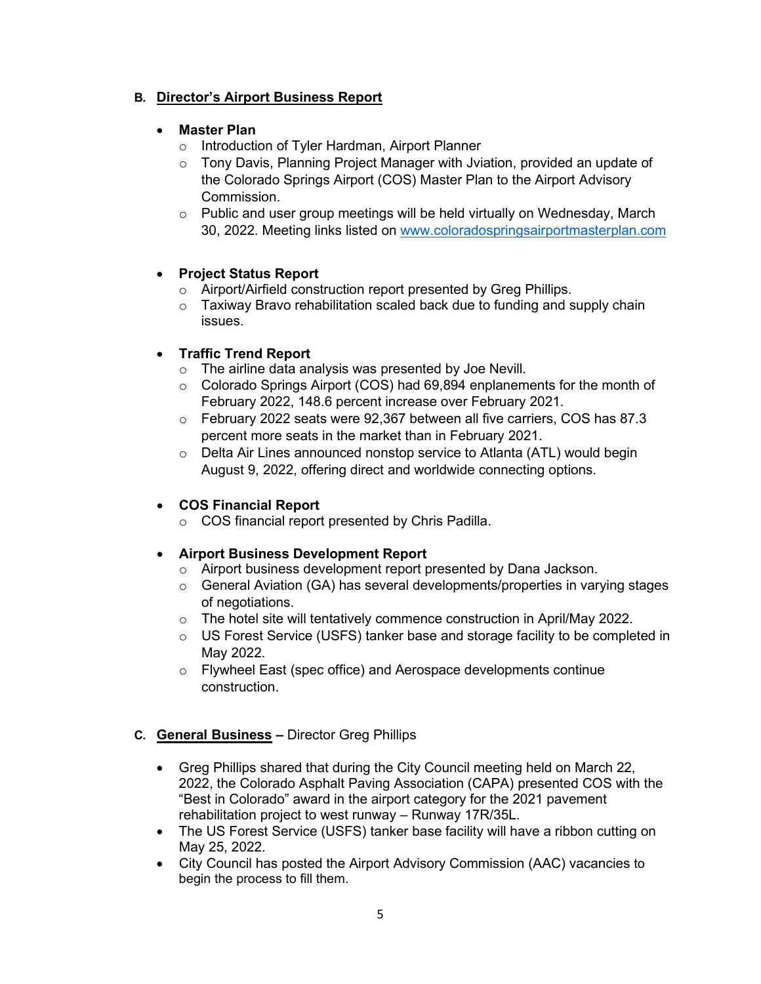## **B. Director's Airport Business Report**

## • **Master Plan**

- o Introduction of Tyler Hardman, Airport Planner
- $\circ$  Tony Davis, Planning Project Manager with Jviation, provided an update of the Colorado Springs Airport (COS) Master Plan to the Airport Advisory Commission.
- $\circ$  Public and user group meetings will be held virtually on Wednesday, March 30, 2022. Meeting links listed on [www.coloradospringsairportmasterplan.com](http://www.coloradospringsairportmasterplan.com/)

## • **Project Status Report**

- o Airport/Airfield construction report presented by Greg Phillips.
- $\circ$  Taxiway Bravo rehabilitation scaled back due to funding and supply chain issues.

## • **Traffic Trend Report**

- o The airline data analysis was presented by Joe Nevill.
- $\circ$  Colorado Springs Airport (COS) had 69,894 enplanements for the month of February 2022, 148.6 percent increase over February 2021.
- $\circ$  February 2022 seats were 92,367 between all five carriers, COS has 87.3 percent more seats in the market than in February 2021.
- o Delta Air Lines announced nonstop service to Atlanta (ATL) would begin August 9, 2022, offering direct and worldwide connecting options.

## • **COS Financial Report**

o COS financial report presented by Chris Padilla.

## • **Airport Business Development Report**

- o Airport business development report presented by Dana Jackson.
- $\circ$  General Aviation (GA) has several developments/properties in varying stages of negotiations.
- o The hotel site will tentatively commence construction in April/May 2022.
- $\circ$  US Forest Service (USFS) tanker base and storage facility to be completed in May 2022.
- o Flywheel East (spec office) and Aerospace developments continue construction.

## **C. General Business –** Director Greg Phillips

- Greg Phillips shared that during the City Council meeting held on March 22, 2022, the Colorado Asphalt Paving Association (CAPA) presented COS with the "Best in Colorado" award in the airport category for the 2021 pavement rehabilitation project to west runway – Runway 17R/35L.
- The US Forest Service (USFS) tanker base facility will have a ribbon cutting on May 25, 2022.
- City Council has posted the Airport Advisory Commission (AAC) vacancies to begin the process to fill them.